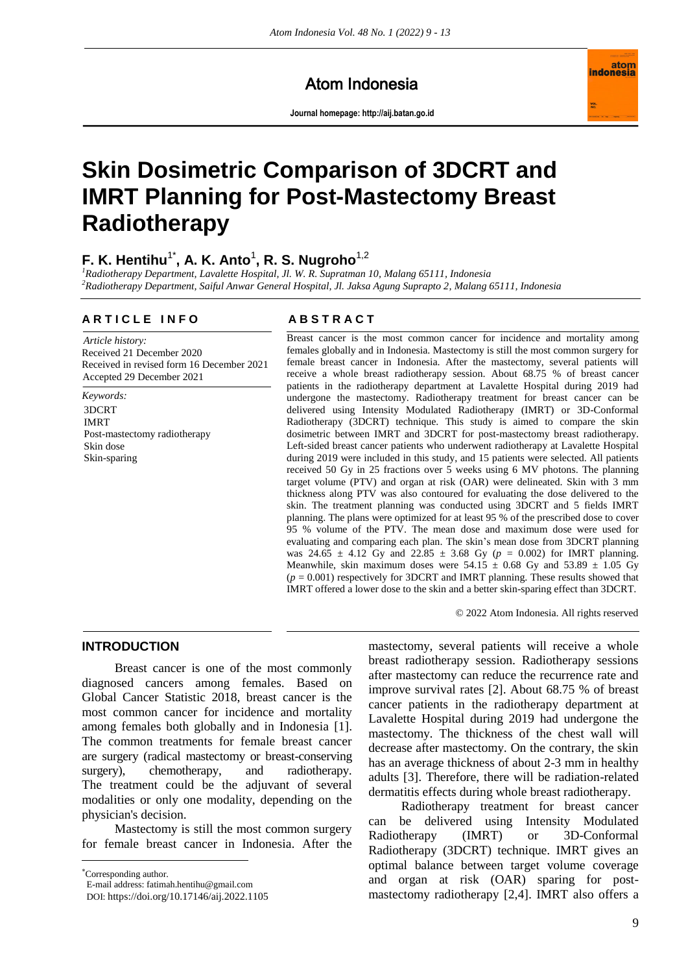Atom Indonesia

**Journal homepage[: http://aij.batan.go.id](http://aij.batan.go.id/)**



# **Skin Dosimetric Comparison of 3DCRT and IMRT Planning for Post-Mastectomy Breast Radiotherapy**

# **F. K. Hentihu**1\* **, A. K. Anto**<sup>1</sup> **, R. S. Nugroho**1,2

*<sup>1</sup>Radiotherapy Department, Lavalette Hospital, Jl. W. R. Supratman 10, Malang 65111, Indonesia <sup>2</sup>Radiotherapy Department, Saiful Anwar General Hospital, Jl. Jaksa Agung Suprapto 2, Malang 65111, Indonesia*

# **A R T I C L E I N F O A B S T R A C T**

*Article history:* Received 21 December 2020 Received in revised form 16 December 2021 Accepted 29 December 2021

*Keywords:* 3DCRT IMRT Post-mastectomy radiotherapy Skin dose Skin-sparing

Breast cancer is the most common cancer for incidence and mortality among females globally and in Indonesia. Mastectomy is still the most common surgery for female breast cancer in Indonesia. After the mastectomy, several patients will receive a whole breast radiotherapy session. About 68.75 % of breast cancer patients in the radiotherapy department at Lavalette Hospital during 2019 had undergone the mastectomy. Radiotherapy treatment for breast cancer can be delivered using Intensity Modulated Radiotherapy (IMRT) or 3D-Conformal Radiotherapy (3DCRT) technique. This study is aimed to compare the skin dosimetric between IMRT and 3DCRT for post-mastectomy breast radiotherapy. Left-sided breast cancer patients who underwent radiotherapy at Lavalette Hospital during 2019 were included in this study, and 15 patients were selected. All patients received 50 Gy in 25 fractions over 5 weeks using 6 MV photons. The planning target volume (PTV) and organ at risk (OAR) were delineated. Skin with 3 mm thickness along PTV was also contoured for evaluating the dose delivered to the skin. The treatment planning was conducted using 3DCRT and 5 fields IMRT planning. The plans were optimized for at least 95 % of the prescribed dose to cover 95 % volume of the PTV. The mean dose and maximum dose were used for evaluating and comparing each plan. The skin's mean dose from 3DCRT planning was  $24.65 \pm 4.12$  Gy and  $22.85 \pm 3.68$  Gy ( $p = 0.002$ ) for IMRT planning. Meanwhile, skin maximum doses were  $54.15 \pm 0.68$  Gy and  $53.89 \pm 1.05$  Gy  $(p = 0.001)$  respectively for 3DCRT and IMRT planning. These results showed that IMRT offered a lower dose to the skin and a better skin-sparing effect than 3DCRT.

© 2022 Atom Indonesia. All rights reserved

### **INTRODUCTION**

Breast cancer is one of the most commonly diagnosed cancers among females. Based on Global Cancer Statistic 2018, breast cancer is the most common cancer for incidence and mortality among females both globally and in Indonesia [1]. The common treatments for female breast cancer are surgery (radical mastectomy or breast-conserving surgery), chemotherapy, and radiotherapy. The treatment could be the adjuvant of several modalities or only one modality, depending on the physician's decision.

Mastectomy is still the most common surgery for female breast cancer in Indonesia. After the

Corresponding author.

 $\overline{a}$ 

E-mail address: fatimah.hentihu@gmail.com

mastectomy, several patients will receive a whole breast radiotherapy session. Radiotherapy sessions after mastectomy can reduce the recurrence rate and improve survival rates [2]. About 68.75 % of breast cancer patients in the radiotherapy department at Lavalette Hospital during 2019 had undergone the mastectomy. The thickness of the chest wall will decrease after mastectomy. On the contrary, the skin has an average thickness of about 2-3 mm in healthy adults [3]. Therefore, there will be radiation-related dermatitis effects during whole breast radiotherapy.

Radiotherapy treatment for breast cancer can be delivered using Intensity Modulated Radiotherapy (IMRT) or 3D-Conformal Radiotherapy (3DCRT) technique. IMRT gives an optimal balance between target volume coverage and organ at risk (OAR) sparing for postmastectomy radiotherapy [2,4]. IMRT also offers a

DOI: <https://doi.org/10.17146/aij.2022.1105>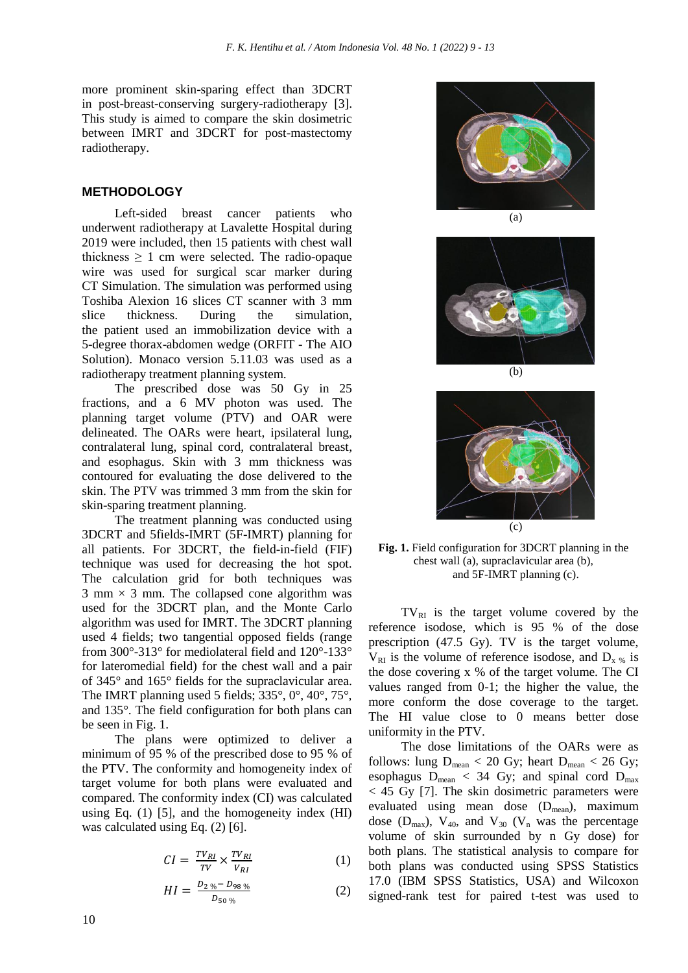more prominent skin-sparing effect than 3DCRT in post-breast-conserving surgery-radiotherapy [3]. This study is aimed to compare the skin dosimetric between IMRT and 3DCRT for post-mastectomy radiotherapy.

#### **METHODOLOGY**

Left-sided breast cancer patients who underwent radiotherapy at Lavalette Hospital during 2019 were included, then 15 patients with chest wall thickness  $\geq 1$  cm were selected. The radio-opaque wire was used for surgical scar marker during CT Simulation. The simulation was performed using Toshiba Alexion 16 slices CT scanner with 3 mm slice thickness. During the simulation, the patient used an immobilization device with a 5-degree thorax-abdomen wedge (ORFIT - The AIO Solution). Monaco version 5.11.03 was used as a radiotherapy treatment planning system.

The prescribed dose was 50 Gy in 25 fractions, and a 6 MV photon was used. The planning target volume (PTV) and OAR were delineated. The OARs were heart, ipsilateral lung, contralateral lung, spinal cord, contralateral breast, and esophagus. Skin with 3 mm thickness was contoured for evaluating the dose delivered to the skin. The PTV was trimmed 3 mm from the skin for skin-sparing treatment planning.

The treatment planning was conducted using 3DCRT and 5fields-IMRT (5F-IMRT) planning for all patients. For 3DCRT, the field-in-field (FIF) technique was used for decreasing the hot spot. The calculation grid for both techniques was  $3$  mm  $\times$  3 mm. The collapsed cone algorithm was used for the 3DCRT plan, and the Monte Carlo algorithm was used for IMRT. The 3DCRT planning used 4 fields; two tangential opposed fields (range from 300°-313° for mediolateral field and 120°-133° for lateromedial field) for the chest wall and a pair of 345° and 165° fields for the supraclavicular area. The IMRT planning used 5 fields; 335°, 0°, 40°, 75°, and 135°. The field configuration for both plans can be seen in Fig. 1.

The plans were optimized to deliver a minimum of 95 % of the prescribed dose to 95 % of the PTV. The conformity and homogeneity index of target volume for both plans were evaluated and compared. The conformity index (CI) was calculated using Eq. (1) [5], and the homogeneity index (HI) was calculated using Eq. (2) [6].

$$
CI = \frac{TV_{RI}}{TV} \times \frac{TV_{RI}}{V_{RI}} \tag{1}
$$

$$
HI = \frac{D_{2\%} - D_{98\%}}{D_{50\%}} \tag{2}
$$



(a)





**Fig. 1.** Field configuration for 3DCRT planning in the chest wall (a), supraclavicular area (b), and 5F-IMRT planning (c).

 $TV_{RI}$  is the target volume covered by the reference isodose, which is 95 % of the dose prescription (47.5 Gy). TV is the target volume,  $V_{RI}$  is the volume of reference isodose, and  $D_{x,y}$  is the dose covering x % of the target volume. The CI values ranged from 0-1; the higher the value, the more conform the dose coverage to the target. The HI value close to 0 means better dose uniformity in the PTV.

The dose limitations of the OARs were as follows: lung  $D_{mean} < 20$  Gy; heart  $D_{mean} < 26$  Gy; esophagus  $D_{mean}$  < 34 Gy; and spinal cord  $D_{max}$ < 45 Gy [7]. The skin dosimetric parameters were evaluated using mean dose  $(D_{mean})$ , maximum dose ( $D_{max}$ ),  $V_{40}$ , and  $V_{30}$  ( $V_n$  was the percentage volume of skin surrounded by n Gy dose) for both plans. The statistical analysis to compare for both plans was conducted using SPSS Statistics 17.0 (IBM SPSS Statistics, USA) and Wilcoxon signed-rank test for paired t-test was used to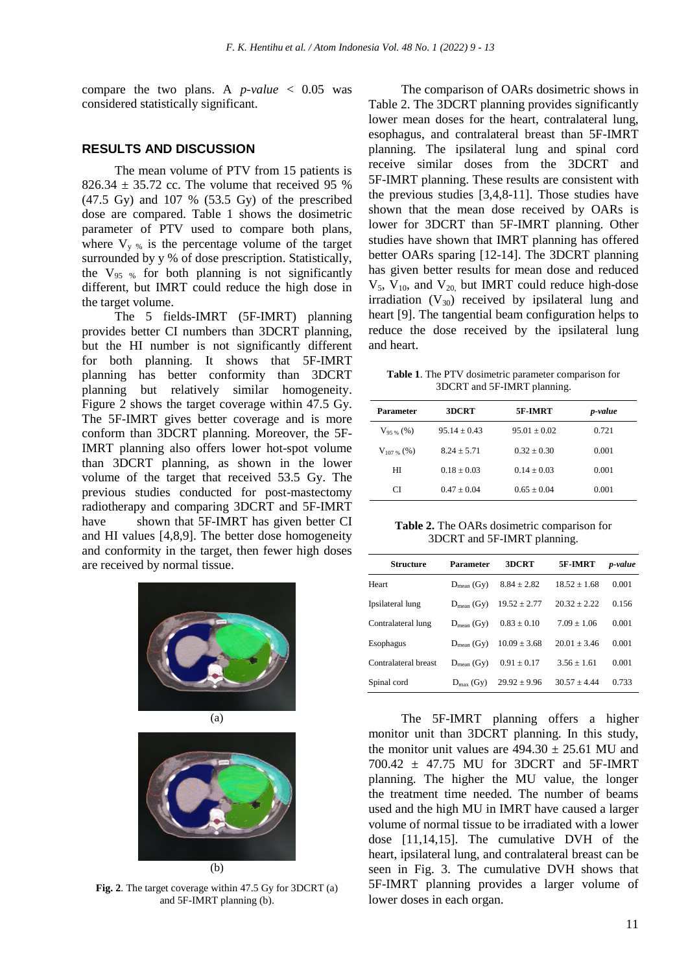compare the two plans. A  $p$ -value  $\lt$  0.05 was considered statistically significant.

#### **RESULTS AND DISCUSSION**

The mean volume of PTV from 15 patients is  $826.34 \pm 35.72$  cc. The volume that received 95 % (47.5 Gy) and 107 % (53.5 Gy) of the prescribed dose are compared. Table 1 shows the dosimetric parameter of PTV used to compare both plans, where  $V_{y\%}$  is the percentage volume of the target surrounded by y % of dose prescription. Statistically, the  $V_{95\%}$  for both planning is not significantly different, but IMRT could reduce the high dose in the target volume.

The 5 fields-IMRT (5F-IMRT) planning provides better CI numbers than 3DCRT planning, but the HI number is not significantly different for both planning. It shows that 5F-IMRT planning has better conformity than 3DCRT planning but relatively similar homogeneity. Figure 2 shows the target coverage within 47.5 Gy. The 5F-IMRT gives better coverage and is more conform than 3DCRT planning. Moreover, the 5F-IMRT planning also offers lower hot-spot volume than 3DCRT planning, as shown in the lower volume of the target that received 53.5 Gy. The previous studies conducted for post-mastectomy radiotherapy and comparing 3DCRT and 5F-IMRT have shown that 5F-IMRT has given better CI and HI values [4,8,9]. The better dose homogeneity and conformity in the target, then fewer high doses are received by normal tissue.





**Fig. 2**. The target coverage within 47.5 Gy for 3DCRT (a) and 5F-IMRT planning (b).

The comparison of OARs dosimetric shows in Table 2. The 3DCRT planning provides significantly lower mean doses for the heart, contralateral lung, esophagus, and contralateral breast than 5F-IMRT planning. The ipsilateral lung and spinal cord receive similar doses from the 3DCRT and 5F-IMRT planning. These results are consistent with the previous studies [3,4,8-11]. Those studies have shown that the mean dose received by OARs is lower for 3DCRT than 5F-IMRT planning. Other studies have shown that IMRT planning has offered better OARs sparing [12-14]. The 3DCRT planning has given better results for mean dose and reduced  $V_5$ ,  $V_{10}$ , and  $V_{20}$ , but IMRT could reduce high-dose irradiation  $(V_{30})$  received by ipsilateral lung and heart [9]. The tangential beam configuration helps to reduce the dose received by the ipsilateral lung and heart.

**Table 1**. The PTV dosimetric parameter comparison for 3DCRT and 5F-IMRT planning.

| Parameter       | 3DCRT          | 5F-IMRT        | p-value |
|-----------------|----------------|----------------|---------|
| $V_{95\%}$ (%)  | $95.14 + 0.43$ | $95.01 + 0.02$ | 0.721   |
| $V_{107\%}$ (%) | $8.24 + 5.71$  | $0.32 + 0.30$  | 0.001   |
| HІ              | $0.18 + 0.03$  | $0.14 + 0.03$  | 0.001   |
| СI              | $0.47 + 0.04$  | $0.65 + 0.04$  | 0.001   |

**Table 2.** The OARs dosimetric comparison for 3DCRT and 5F-IMRT planning.

| <b>Structure</b>     | Parameter             | 3DCRT            | 5F-IMRT        | p-value |
|----------------------|-----------------------|------------------|----------------|---------|
| Heart                | $D_{mean}$ (Gy)       | $8.84 + 2.82$    | $18.52 + 1.68$ | 0.001   |
| Ipsilateral lung     | $D_{mean}$ (Gy)       | $19.52 + 2.77$   | $20.32 + 2.22$ | 0.156   |
| Contralateral lung   | $D_{mean}$ (Gy)       | $0.83 + 0.10$    | $7.09 + 1.06$  | 0.001   |
| Esophagus            | $D_{mean}$ (Gy)       | $10.09 \pm 3.68$ | $20.01 + 3.46$ | 0.001   |
| Contralateral breast | $D_{mean}$ (Gy)       | $0.91 + 0.17$    | $3.56 + 1.61$  | 0.001   |
| Spinal cord          | $D_{\text{max}}$ (Gy) | $29.92 \pm 9.96$ | $30.57 + 4.44$ | 0.733   |

The 5F-IMRT planning offers a higher monitor unit than 3DCRT planning. In this study, the monitor unit values are  $494.30 \pm 25.61$  MU and 700.42 ± 47.75 MU for 3DCRT and 5F-IMRT planning. The higher the MU value, the longer the treatment time needed. The number of beams used and the high MU in IMRT have caused a larger volume of normal tissue to be irradiated with a lower dose [11,14,15]. The cumulative DVH of the heart, ipsilateral lung, and contralateral breast can be seen in Fig. 3. The cumulative DVH shows that 5F-IMRT planning provides a larger volume of lower doses in each organ.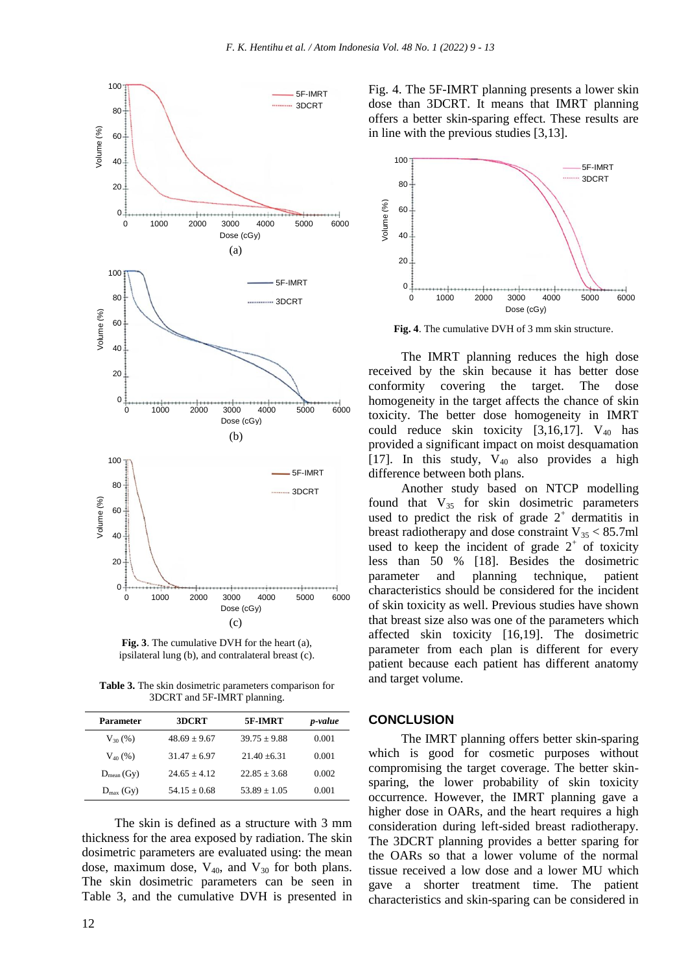

**Fig. 3**. The cumulative DVH for the heart (a), ipsilateral lung (b), and contralateral breast (c).

**Table 3.** The skin dosimetric parameters comparison for 3DCRT and 5F-IMRT planning.

| Parameter             | 3DCRT            | 5F-IMRT        | <i>p</i> -value |
|-----------------------|------------------|----------------|-----------------|
| $V_{30}$ (%)          | $48.69 \pm 9.67$ | $39.75 + 9.88$ | 0.001           |
| $V_{40}$ (%)          | $31.47 + 6.97$   | $21.40 + 6.31$ | 0.001           |
| $D_{mean}(Gy)$        | $24.65 + 4.12$   | $22.85 + 3.68$ | 0.002           |
| $D_{\text{max}}$ (Gy) | $54.15 + 0.68$   | $53.89 + 1.05$ | 0.001           |

The skin is defined as a structure with 3 mm thickness for the area exposed by radiation. The skin dosimetric parameters are evaluated using: the mean dose, maximum dose,  $V_{40}$ , and  $V_{30}$  for both plans. The skin dosimetric parameters can be seen in Table 3, and the cumulative DVH is presented in



**Fig. 4**. The cumulative DVH of 3 mm skin structure.

The IMRT planning reduces the high dose received by the skin because it has better dose conformity covering the target. The dose homogeneity in the target affects the chance of skin toxicity. The better dose homogeneity in IMRT could reduce skin toxicity  $[3,16,17]$ . V<sub>40</sub> has provided a significant impact on moist desquamation [17]. In this study,  $V_{40}$  also provides a high difference between both plans.

Another study based on NTCP modelling found that  $V_{35}$  for skin dosimetric parameters used to predict the risk of grade  $2^+$  dermatitis in breast radiotherapy and dose constraint  $V_{35}$  < 85.7ml used to keep the incident of grade  $2^+$  of toxicity less than 50 % [18]. Besides the dosimetric parameter and planning technique, patient characteristics should be considered for the incident of skin toxicity as well. Previous studies have shown that breast size also was one of the parameters which affected skin toxicity [16,19]. The dosimetric parameter from each plan is different for every patient because each patient has different anatomy and target volume.

#### **CONCLUSION**

The IMRT planning offers better skin-sparing which is good for cosmetic purposes without compromising the target coverage. The better skinsparing, the lower probability of skin toxicity occurrence. However, the IMRT planning gave a higher dose in OARs, and the heart requires a high consideration during left-sided breast radiotherapy. The 3DCRT planning provides a better sparing for the OARs so that a lower volume of the normal tissue received a low dose and a lower MU which gave a shorter treatment time. The patient characteristics and skin-sparing can be considered in